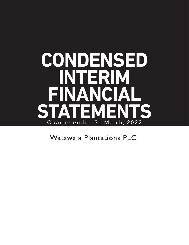# **CONDENSED INTERIM FINANCIAL STATEMENTS** Quarter ended 31 March, 2022

**Watawala Plantations PLC**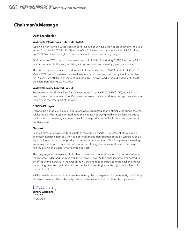### **Chairman's Message**

#### Dear Shareholder,

#### Watawala Plantations PLC (CSE: WATA)

Watawala Plantations PLC posted a record revenue of LKR 6.5 billion at group level for the year ended 31st March 2022 (FY 21/22), up 64.6% YoY. Palm oil sector revenue was LKR 5.8 billion, up 76.0% YoY driven by higher NSA and production volumes during the year.

Profit after tax (PAT) at group level was a record LKR 3.5 billion during FY21/22, up by LKR 1.8 billion compared to the last year. Margin improvement was driven by growth in top-line.

The net assets per share increased to LKR 34.92 as at 31st March 2022 from LKR 24.90 as at 31st March 2021 due to increase in retained earnings, which was partly offset by the final dividend for FY 20/21 of LKR 3.00 per share paid during 1Q FY 21/22, and interim dividend of LKR 6.00 per share paid during 3Q FY 21/22.

#### Watawala Dairy Limited (WDL)

Revenue was LKR 693.9 million for the year ended 31st March 2022 (FY 21/22), up 6.8% YoY due to the increase in milk price. Gross margins were challenged due to the rapid escalation of feed cost in the latter part of the year.

#### COVID-19 Impact

Despite the pandemic, palm oil operations were conducted at an optimal level during the year. Whilst the dairy business operated at normal capacity, sourcing feed was challenging due to the import ban on maize, and low domestic maize production which is the main ingredient in our dairy feed.

#### **Outlook**

Palm oil prices are expected to fluctuate in the coming quarter. The removal of subsidy on chemical/ inorganic fertilizer, shortage of fertilizer, and depreciation of the Sri Lankan Rupee is expected to increase cost of production in the palm oil segment. The Company is increasing in-house production of compost fertilizer and exploring alternative fertilizers to maintain healthy growth and yields, whilst controlling cost.

The dairy segment is expected to further consolidate its operations with better prices due to the increase in demand for fresh milk in Sri Lanka. However, the price increase is expected to be offset by the increase in the cost of feed. Sourcing feed is expected to be challenging over the coming quarters due to the reduced cultivation resulting from the high cost and lack of chemical fertilizer.

Whilst there is uncertainty in the macro economy, the management is continuously monitoring all development and has taken all possible measures to ensure uninterrupted operations.

IlMijesnity

**Sunil G Wijesinha**  *Chairman 26 May 2022*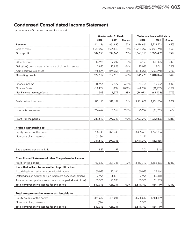# **Condensed Consolidated Income Statement**

|                                                                 |            | Quarter ended 31 March |        |             | Twelve months ended 31 March |        |
|-----------------------------------------------------------------|------------|------------------------|--------|-------------|------------------------------|--------|
|                                                                 | 2022       | 2021                   | Change | 2022        | 2021                         | Change |
| <b>Revenue</b>                                                  | 1,441,196  | 961,990                | 50%    | 6,474,661   | 3,933,523                    | 65%    |
| Cost of sales                                                   | (839, 046) | (622, 824)             | 35%    | (2,911,046) | (2,008,091)                  | 45%    |
| Gross profit                                                    | 602,150    | 339,166                | 78%    | 3,563,615   | 1,925,432                    | 85%    |
| Other Income                                                    | 14,931     | 22,249                 | $-33%$ | 86,190      | 131,495                      | $-34%$ |
| Gain/(loss) on changes in fair value of biological assets       | 3,840      | 15,828                 | $-76%$ | 15,033      | 12,061                       | 25%    |
| Administrative expenses                                         | (98, 309)  | (59,633)               | 65%    | (318,063)   | (250, 894)                   | 27%    |
| Operating profits                                               | 522,612    | 317,610                | 65%    | 3,346,775   | 1,818,094                    | 84%    |
| Finance Income                                                  | 18,966     | 2,429                  | 681%   | 54,795      | 15,532                       | 253%   |
| <b>Finance Costs</b>                                            | (18, 463)  | (850)                  | 2072%  | (69, 768)   | (81,970)                     | $-15%$ |
| Net Finance Income/(Costs)                                      | 503        | 1,579                  | $-68%$ | (14, 973)   | (66, 438)                    | $-77%$ |
| Profit before income tax                                        | 523,115    | 319,189                | 64%    | 3,331,802   | 1,751,656                    | 90%    |
| Income tax expenses                                             | 264,497    | 80,559                 | 228%   | 125,997     | (88, 820)                    | n/a    |
| Profit for the period                                           | 787,612    | 399,748                | 97%    | 3,457,799   | 1,662,836                    | 108%   |
| Profit is attributable to:                                      |            |                        |        |             |                              |        |
| Equity holders of the parent                                    | 788,748    | 399,748                |        | 3,455,658   | 1,662,836                    |        |
| Non-controlling interests                                       | (1, 136)   |                        |        | 2,141       |                              |        |
|                                                                 | 787,612    | 399,748                |        | 3,457,799   | 1,662,836                    |        |
| Basic earning per share (LKR)                                   | 3.87       | 1.97                   |        | 17.01       | 8.18                         |        |
| <b>Consolidated Statement of other Comprehensive Income</b>     |            |                        |        |             |                              |        |
| Profit for the period                                           | 787,612    | 399,748                | 97%    | 3,457,799   | 1,662,836                    | 108%   |
| Items that will not be reclassified to profit or loss           |            |                        |        |             |                              |        |
| Acturial gain on retirement benefit obligations                 | 60,043     | 25,164                 |        | 60,043      | 25,164                       |        |
| Deferred tax on acturial gain on retirement benefit obligations | (6, 742)   | (3,881)                |        | (6, 742)    | (3,881)                      |        |
| Total other comprehensive income for the period (net of tax)    | 53,301     | 21,283                 |        | 53,301      | 21,283                       |        |
| Total comprehensive income for the period                       | 840,913    | 421,031                | 100%   | 3,511,100   | 1,684,119                    | 108%   |
| Total comprehensive income attributable to                      |            |                        |        |             |                              |        |
| Equity holders of the parent                                    | 841,639    | 421,031                |        | 3,508,549   | 1,684,119                    |        |
| Non-controlling interests                                       | (726)      |                        |        | 2,551       |                              |        |
| Total comprehensive income for the period                       | 840,913    | 421,031                |        | 3,511,100   | 1,684,119                    |        |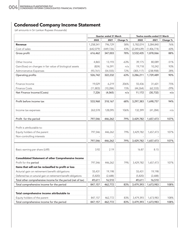# **Condensed Company Income Statement**

|                                                                 |            | Quarter ended 31 March |          | Twelve months ended 31 March |             |          |
|-----------------------------------------------------------------|------------|------------------------|----------|------------------------------|-------------|----------|
|                                                                 | 2022       | 2021                   | Change % | 2022                         | 2021        | Change % |
| <b>Revenue</b>                                                  | 1,258,541  | 796,729                | 58%      | 5,782,074                    | 3,284,840   | 76%      |
| Cost of sales                                                   | (642, 079) | (449, 726)             | 43%      | (2,249,639)                  | (1,406,774) | 60%      |
| Gross profit                                                    | 616,462    | 347,003                | 78%      | 3,532,435                    | 1,878,066   | 88%      |
| Other Income                                                    | 4,865      | 13,193                 | $-63%$   | 39,175                       | 80,089      | $-51%$   |
| Gain/(loss) on changes in fair value of biological assets       | (824)      | 16,591                 | n/a      | 19,718                       | 10,242      | 93%      |
| Administrative Expenses                                         | (93, 761)  | (54, 555)              | 72%      | (305, 117)                   | (238,908)   | 28%      |
| Operating profits                                               | 526,742    | 322,232                | 63%      | 3,286,211                    | 1,729,489   | 90%      |
| Finance Income                                                  | 19,029     | 6,219                  | 206%     | 55,436                       | 31,601      | 75%      |
| <b>Finance Costs</b>                                            | (11, 803)  | (10, 284)              | 15%      | (44, 264)                    | (62, 333)   | $-29%$   |
| Net Finance Income/(Costs)                                      | 7,226      | (4,065)                | n/a      | 11,172                       | (30, 732)   | n/a      |
| Profit before income tax                                        | 533,968    | 318,167                | 68%      | 3,297,383                    | 1,698,757   | 94%      |
| Income tax expenses                                             | 263,578    | 128,095                | 106%     | 132,399                      | (41, 284)   | n/a      |
| Profit for the period                                           | 797,546    | 446,262                | 79%      | 3,429,782                    | 1,657,473   | 107%     |
| Profit is attributable to:                                      |            |                        |          |                              |             |          |
| Equity holders of the parent                                    | 797,546    | 446,262                | 79%      | 3,429,782                    | 1,657,473   | 107%     |
| Non-controlling interests                                       |            |                        |          |                              |             |          |
|                                                                 | 797,546    | 446,262                | 79%      | 3,429,782                    | 1,657,473   | 107%     |
| Basic earning per share (LKR)                                   | 3.92       | 2.19                   |          | 16.87                        | 8.15        |          |
| <b>Consolidated Statement of other Comprehensive Income</b>     |            |                        |          |                              |             |          |
| Profit for the period                                           | 797,546    | 446,262                | 79%      | 3,429,782                    | 1,657,473   | 107%     |
| Items that will not be reclassified to profit or loss           |            |                        |          |                              |             |          |
| Acturial gain on retirement benefit obligations                 | 55,431     | 19,198                 |          | 55,431                       | 19,198      |          |
| Deferred tax on acturial gain on retirement benefit obligations | (5,820)    | (2,688)                |          | (5,820)                      | (2,688)     |          |
| Total other comprehensive income for the period (net of tax)    | 49,611     | 16,510                 |          | 49,611                       | 16,510      |          |
| Total comprehensive income for the period                       | 847,157    | 462,772                | 83%      | 3,479,393                    | 1,673,983   | 108%     |
| Total comprehensive income attributable to                      |            |                        |          |                              |             |          |
| Equity holders of the parent                                    | 847,157    | 462,772                | 83%      | 3,479,393                    | 1,673,983   | 108%     |
| Total comprehensive income for the period                       | 847,157    | 462,772                | 83%      | 3,479,393                    | 1,673,983   | 108%     |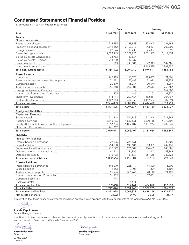### **Condensed Statement of Financial Position**

(all amounts in Sri Lankan Rupees thousands)

|                                                             | Group         |            | Company                            |            |  |  |
|-------------------------------------------------------------|---------------|------------|------------------------------------|------------|--|--|
| As at                                                       | 31.03.2022    | 31.03.2021 | 31.03.2022                         | 31.03.2021 |  |  |
| <b>Assets</b>                                               |               |            |                                    |            |  |  |
| Non-current assets                                          |               |            |                                    |            |  |  |
| Rights to use of assets                                     | 235,995       | 238,853    | 238,645                            | 231,162    |  |  |
| Property, plant and equipment                               | 2,342,362     | 2,109,979  | 943.491                            | 702,205    |  |  |
| Intangible assets                                           | 28,276        | 19,230     | 25,307                             | 15,091     |  |  |
| Bearer biological assets                                    | 2,698,963     | 2,709,996  | 2,631,545                          | 2,619,454  |  |  |
| Biological assets-Consumable                                | 33,783        | 32,857     |                                    |            |  |  |
| Biological assets -Livestock                                | 943,200       | 749,339    |                                    |            |  |  |
| Investment fund                                             | 72,313        | 149,686    | 72,313                             | 149,686    |  |  |
| Investment in subsidiaries                                  |               |            | 2,163,390                          | 1,867,390  |  |  |
| Total non-current assets                                    | 6,354,892     | 6,009,940  | 6,074,691                          | 5,584,988  |  |  |
| <b>Current assets</b>                                       |               |            |                                    |            |  |  |
| Inventories                                                 | 245,923       | 111,270    | 193,065                            | 71,301     |  |  |
| Biological assets-produce on bearer plants                  | 71,671        | 52,688     | 71,671                             | 51,953     |  |  |
| Current tax assets                                          | 20,679        | 15,267     | 20,679                             | 15,267     |  |  |
| Trade and other receivables                                 | 256,348       | 292,304    | 229,617                            | 258,687    |  |  |
| Loan given to related Company                               |               |            |                                    | 262,000    |  |  |
| Amount due from related Companies                           | 255           | 486        | 4,101                              | 37,870     |  |  |
| Short term investments                                      | 514,914       | 207,467    | 482,811                            | 207,467    |  |  |
| Cash and cash equivalents                                   | 1,427,013     | 407,955    | 1,412,534                          | 389,394    |  |  |
| Total current assets                                        | 2,536,803     | 1,087,437  | 2,414,478                          | 1,293,939  |  |  |
| Total assets                                                | 8,891,695     | 7,097,377  | 8,489,169                          | 6,878,927  |  |  |
| <b>Equity and Liabilities</b>                               |               |            |                                    |            |  |  |
| <b>Capital and Reserves</b>                                 |               |            |                                    |            |  |  |
| Stated capital                                              | 511,848       | 511,848    | 511,848                            | 511,848    |  |  |
| Retained earnings                                           | 6,345,936     | 4,550,561  | 6,620,116                          | 4,970,501  |  |  |
| Equity attributable to owners of the Companies              | 6,857,784     | 5,062,409  | 7,131,964                          | 5,482,349  |  |  |
| Non controlling interests                                   | 241,887       |            |                                    |            |  |  |
| Total equity                                                | 7,099,671     | 5,062,409  | 7,131,964                          | 5,482,349  |  |  |
| <b>Liabilities</b>                                          |               |            |                                    |            |  |  |
| Non-current liabilities                                     |               |            |                                    |            |  |  |
| Interest bearing borrowings                                 | 227,505       | 372,561    |                                    | 45,500     |  |  |
| Lease Liabilities                                           | 254,050       | 248,186    | 263,351                            | 247,138    |  |  |
| Retirement benefit obligations                              | 212,629       | 271,507    | 186,682                            | 240,086    |  |  |
| Deferred income and capital grants                          | 41,442        | 91,996     | 41,442                             | 43,799     |  |  |
| Deferred tax liability                                      | 316,938       | 431,554    | 261,658                            | 382,825    |  |  |
| Total non-current liabilities                               | 1.052.564     | 1,415,804  | 753,133                            | 959,348    |  |  |
|                                                             |               |            |                                    |            |  |  |
| <b>Current liabilities</b>                                  |               |            |                                    |            |  |  |
| Interest bearing borrowings                                 | 145,070       | 225,119    | 45,500                             | 115,000    |  |  |
| Lease Liabilities                                           | 2,363         | 2,108      | 1,399                              | 1,102      |  |  |
| Trade and other payables<br>Amount due to related Companies | 559,994       | 366,266    | 520,112                            | 321,128    |  |  |
| Current tax liabilities                                     | 31,259<br>774 |            | 37,061<br>$\overline{\phantom{a}}$ |            |  |  |
| Bank overdrafts                                             |               | 25,671     |                                    |            |  |  |
| Total current liabilities                                   | 739,460       | 619,164    | 604,072                            | 437,230    |  |  |
| <b>Total liabilities</b>                                    | 1,792,024     | 2,034,968  | 1,357,205                          | 1,396,578  |  |  |
| Total equity and liabilities                                | 8,891,695     | 7,097,377  | 8,489,169                          | 6,878,927  |  |  |
| Net assets per share                                        | 34.92         | 24.90      | 35.08                              | 26.97      |  |  |

It is certified that these financial statements have been prepared in compliance with the requirements of the Companies Act No 07 of 2007.

#### **Eranda Kapukotuwa**  *Senior Manager-Finance*

The Board of Directors is responsible for the preparation and presentation of these financial statements. Approved and signed for and on behalf of Directors of Watawala Plantations PLC.

 $\overline{O}$ thateric

**V Govindasamy** *Director 26 May 2022 Colombo*

Ilmijesnity

**Sunil G Wijesinha**  *Chairman*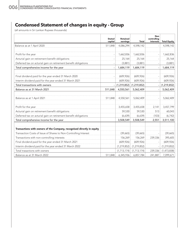# **Condensed Statement of changes in equity - Group**

|                                                                        | <b>Stated</b><br>capital | Retained<br>earnings | Total         | <b>Non</b><br>controlling<br>interests | <b>Total Equity</b> |
|------------------------------------------------------------------------|--------------------------|----------------------|---------------|----------------------------------------|---------------------|
| Balance as at 1 April 2020                                             | 511,848                  | 4,086,294            | 4,598,142     |                                        | 4,598,142           |
|                                                                        |                          |                      |               |                                        |                     |
| Profit for the year                                                    | $\overline{\phantom{a}}$ | 1,662,836            | 1,662,836     |                                        | 1,662,836           |
| Acturial gain on retirement benefit obligations                        |                          | 25,164               | 25,164        |                                        | 25,164              |
| Deferred tax on acturial gain on retirement benefit obligations        |                          | (3,881)              | (3,881)       |                                        | (3,881)             |
| Total comprehensive income for the year                                | $\overline{\phantom{a}}$ | 1,684,119            | 1,684,119     |                                        | 1,684,119           |
| Final dividend paid for the year ended 31 March 2020                   |                          | (609, 926)           | (609, 926)    |                                        | (609, 926)          |
| Interim dividend paid for the year ended 31 March 2021                 |                          | (609, 926)           | (609, 926)    |                                        | (609, 926)          |
| Total transactions with owners                                         |                          | (1,219,852)          | (1, 219, 852) |                                        | (1, 219, 852)       |
| Balance as at 31 March 2021                                            | 511,848                  | 4,550,561            | 5,062,409     |                                        | 5,062,409           |
| Balance as at 1 April 2021                                             | 511,848                  | 4,550,561            | 5,062,409     |                                        | 5,062,409           |
| Profit for the year                                                    |                          | 3,455,658            | 3,455,658     | 2,141                                  | 3,457,799           |
| Acturial gain on retirement benefit obligations                        |                          | 59,530               | 59,530        | 513                                    | 60,043              |
| Deferred tax on acturial gain on retirement benefit obligations        |                          | (6,639)              | (6,639)       | (103)                                  | (6, 742)            |
| Total comprehensive income for the year                                |                          | 3,508,549            | 3,508,549     | 2,551                                  | 3,511,100           |
| Transactions with owners of the Company, recognised directly in equity |                          |                      |               |                                        |                     |
| Transaction Costs of Issue of Shares to Non-Controlling Interest       |                          | (39,665)             | (39,665)      |                                        | (39,665)            |
| Transactions with non-controlling interests                            |                          | 156,269              | 156,269       | 239,336                                | 395,605             |
| Final dividend paid for the year ended 31 March 2021                   |                          | (609, 926)           | (609, 926)    |                                        | (609, 926)          |
| Interim dividend paid for the year ended 31 March 2022                 |                          | (1, 219, 852)        | (1, 219, 852) |                                        | (1, 219, 852)       |
| Total trasactions with owners                                          |                          | (1,713,174)          | (1,713,174)   | 239,336                                | (1,473,838)         |
| Balance as at 31 March 2022                                            | 511,848                  | 6,345,936            | 6,857,784     | 241,887                                | 7,099,671           |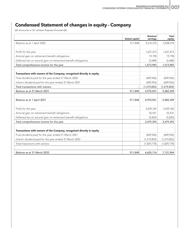# **Condensed Statement of changes in equity - Company**

|                                                                        | <b>Stated capital</b> | <b>Retained</b><br>earnings | <b>Total</b><br>equity |
|------------------------------------------------------------------------|-----------------------|-----------------------------|------------------------|
| Balance as at 1 April 2020                                             | 511,848               | 4,516,370                   | 5,028,218              |
| Profit for the year                                                    |                       | 1,657,473                   | 1,657,473              |
| Acturial gain on retirement benefit obligations                        |                       | 19,198                      | 19,198                 |
| Deferred tax on acturial gain on retirement benefit obligations        |                       | (2,688)                     | (2,688)                |
| Total comprehensive income for the year                                |                       | 1,673,983                   | 1,673,983              |
| Transactions with owners of the Company, recognised directly in equity |                       |                             |                        |
| Final dividend paid for the year ended 31 March 2020                   |                       | (609, 926)                  | (609, 926)             |
| Interim dividend paid for the year ended 31 March 2021                 |                       | (609, 926)                  | (609, 926)             |
| Total transactions with owners                                         |                       | (1, 219, 852)               | (1, 219, 852)          |
| Balance as at 31 March 2021                                            | 511,848               | 4,970,501                   | 5,482,349              |
| Balance as at 1 April 2021                                             | 511,848               | 4,970,501                   | 5,482,349              |
| Profit for the year                                                    |                       | 3,429,782                   | 3,429,782              |
| Acturial gain on retirement benefit obligations                        |                       | 55,431                      | 55,431                 |
| Deferred tax on acturial gain on retirement benefit obligations        |                       | (5,820)                     | (5,820)                |
| Total comprehensive income for the year                                |                       | 3,479,393                   | 3,479,393              |
| Transactions with owners of the Company, recognised directly in equity |                       |                             |                        |
| Final dividend paid for the year ended 31 March 2021                   |                       | (609, 926)                  | (609, 926)             |
| Interim dividend paid for the year ended 31 March 2022                 |                       | (1, 219, 852)               | (1, 219, 852)          |
| Total trasactions with owners                                          |                       | (1,829,778)                 | (1,829,778)            |
| Balance as at 31 March 2022                                            | 511,848               | 6,620,116                   | 7,131,964              |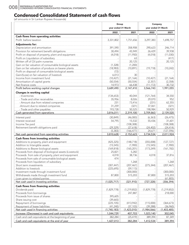# **Condensed Consolidated Statement of cash flows**

|                                                                                                           | Group               |               |                     | Company       |  |
|-----------------------------------------------------------------------------------------------------------|---------------------|---------------|---------------------|---------------|--|
|                                                                                                           | year ended 31 March |               | year ended 31 March |               |  |
|                                                                                                           | 2022                | 2021          | 2022                | 2021          |  |
| Cash flows from operating activities                                                                      |                     |               |                     |               |  |
| Profit before taxation                                                                                    | 3,331,802           | 1,751,656     | 3,297,383           | 1,698,757     |  |
| <b>Adjustments for:</b>                                                                                   |                     |               |                     |               |  |
| Depreciation and amortisation                                                                             | 391,590             | 358,908       | 290,623             | 246,714       |  |
| Provision for retirement benefit obligations                                                              | 30,494              | 45,949        | 26,429              | 39,938        |  |
| Profit on disposal of property, plant and equipment                                                       | (4,018)             | (11,950)      | (4,018)             | (11,030)      |  |
| Profit on Liquidation of subsidiary                                                                       |                     | 63            |                     | (417)         |  |
| Written off of Oil palm nurseries                                                                         |                     | 20,125        |                     | 20,125        |  |
| Gain on fair valuation of consumable biological assets                                                    | (1, 328)            | (1,200)       |                     |               |  |
| Gain on fair valuation of produce on bearer plants                                                        | (18,983)            | (10, 891)     | (19, 718)           | (10, 242)     |  |
| Profit on disposal of consumable biological assets                                                        | (72)                |               |                     |               |  |
| Gain/(Loss) on fair valuation of livestock                                                                | 6,013               | 30            |                     |               |  |
| Income from investment fund                                                                               | (10, 427)           | (21, 164)     | (10, 427)           | (21, 164)     |  |
| Amortisation of capital grants                                                                            | (50, 554)           | (50, 554)     | (2, 357)            | (2, 358)      |  |
| Net finance costs                                                                                         | 14,973              | 66,438        | (11, 172)           | 30,732        |  |
| Profit before working capital changes                                                                     | 3,689,490           | 2,147,410     | 3,566,743           | 1,991,055     |  |
| <b>Changes in working capital</b>                                                                         |                     |               |                     |               |  |
| - Inventories                                                                                             | (134, 653)          | 40,044        | (121, 764)          | 34,550        |  |
| - Trade and other receivables                                                                             | 35,956              | 8,026         | 29,070              | 952           |  |
| - Amount due from related companies                                                                       | 231                 | 73,416        | (231)               | 62,355        |  |
| -Amount due to related companies                                                                          | 31,259              | (321)         | 37,061              | (321)         |  |
| - Trade and other payables                                                                                | 193,728             | 50,525        | 198,984             | 50,929        |  |
| Cash generated from operations                                                                            | 3,816,011           | 2,319,100     | 3,709,863           | 2,139,520     |  |
| Interest paid                                                                                             | (30, 849)           | (46,083)      | (6, 363)            | (26, 475)     |  |
| Interest received                                                                                         | 54,795              | 15,532        | 55,436              | 31,601        |  |
| Income Tax paid                                                                                           |                     | (108, 308)    |                     | (108, 308)    |  |
| Retirement benefit obligations paid                                                                       | (29, 329)           | (27,618)      | (24, 402)           | (24, 414)     |  |
|                                                                                                           | (5, 383)            | (166, 477)    | 24,671              | (127, 596)    |  |
| Net cash generated from operating activities                                                              | 3,810,628           | 2,152,623     | 3,734,534           | 2,011,924     |  |
| Cash flows from investing activities                                                                      |                     |               |                     |               |  |
| Additions to property, plant and equipment                                                                | (425, 325)          | (148, 718)    | (355,008)           | (127, 727)    |  |
| Addition to Intangible assets                                                                             | (15, 545)           | (1,900)       | (15, 545)           | (1,900)       |  |
| Additions to Bearer biological assets                                                                     | (169, 818)          | (165, 201)    | (173, 249)          | (161, 782)    |  |
| Proceeds from disposal of biological assets (Livestock)                                                   | 25,821              | 5,282         |                     |               |  |
| Proceeds from sale of property, plant and equipment<br>Proceeds from sale of consumable biological assets | 4,018<br>474        | 38,736        | 4,018               | 37,816        |  |
|                                                                                                           |                     | 1,268         |                     | 1,268         |  |
| <u>Proceeds from liquidation of subsidiary</u><br>Short term investments                                  | (307, 447)          | (207, 467)    | (275, 344)          | (207, 467)    |  |
| Addition to livestock                                                                                     | (225,695)           | (59, 113)     |                     |               |  |
| Investment made through investment fund                                                                   |                     | (300,000)     |                     | (300,000)     |  |
| Withdrawals made through investment fund                                                                  | 87,800              | 515,203       | 87,800              | 515,203       |  |
| Loan given to related parties                                                                             |                     |               |                     | (61, 805)     |  |
| Net cash used in investing activities                                                                     | (1,025,717)         | (321,910)     | (727, 328)          | (306, 394)    |  |
| <b>Cash flows from financing activities</b>                                                               |                     |               |                     |               |  |
| Dividends paid                                                                                            | (1,829,778)         | (1, 219, 852) | (1,829,778)         | (1, 219, 852) |  |
| Proceeds from borrowings                                                                                  |                     | 247,887       |                     | 218,000       |  |
| Proceeds from issue of shares                                                                             | 395,605             |               |                     |               |  |
| Share issuing cost                                                                                        | (39,665)            |               |                     |               |  |
| Repayment of borrowings                                                                                   | (225, 105)          | (413, 942)    | (115,000)           | (364, 673)    |  |
| Repayment of lease liabilities                                                                            | (41, 240)           | (37, 103)     | (39, 288)           | (36,960)      |  |
| Net cash used in financing activities                                                                     | (1,740,183)         | (1,423,010)   | (1,984,066)         | (1,403,485)   |  |
| Increase /(Decrease) in cash and cash equivalents                                                         | 1,044,729           | 407,703       | 1,023,140           | 302,045       |  |
| Cash and cash equivalents at the beginning of year                                                        | 382,284             | (25, 419)     | 389,394             | 87,349        |  |
| Cash and cash equivalents at the end of year                                                              | 1,427,013           | 382,284       | 1,412,534           | 389,394       |  |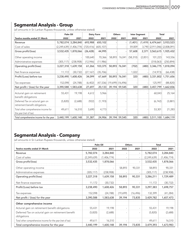# **Segmental Analysis - Group**

(all amounts in Sri Lankan Rupees thousands, unless otherwise stated)

|                                                                    | Palm Oil   |                           | Dairy Farm |            | <b>Others</b>                    |               | <b>Inter Segment</b> |         |                     | Total                         |
|--------------------------------------------------------------------|------------|---------------------------|------------|------------|----------------------------------|---------------|----------------------|---------|---------------------|-------------------------------|
| Twelve months ended 31 March                                       | 2022       | 2021                      | 2022       | 2021       | 2022                             | 2021          | 2022                 | 2021    | 2022                | 2021                          |
| Revenue                                                            |            | 5,782,074 3,284,840       | 693,988    | 650,102    |                                  |               | (1,401)              |         | $(1,419)$ 6,474,661 | 3,933,523                     |
| Cost of sales                                                      |            | $(2,249,639)$ (1,406,774) | (720, 416) | (605, 107) |                                  |               | 59,009               |         |                     | 3,790 (2,911,046) (2,008,091) |
| Gross profit/(loss)                                                |            | 3,532,435 1,878,066       | (26, 428)  | 44,995     |                                  |               | 57,608               | 2,371   | 3,563,615           | 1,925,432                     |
| Other operating income                                             |            |                           | 100,640    | 70,366     | 58,893                           | 76,041        | (58, 310)            | (2,851) | 101,223             | 143,556                       |
| Administrative expenses                                            | (305, 117) | (238,908)                 | (12,946)   | (11,986)   |                                  |               |                      |         | (318,063)           | (250, 894)                    |
| Operating profit/(loss)                                            | 3,227,318  | 1,639,158                 | 61,266     | 103,375    | 58,893                           | 76.041        | (702)                | (480)   | 3,346,775           | 1,818,094                     |
| Net finance expenses                                               | 11,172     | (30, 732)                 | (27, 167)  | (35, 706)  |                                  |               | 1,022                |         | (14, 973)           | (66, 438)                     |
| Profit/(Loss) before tax                                           | 3,238,490  | 1,608,426                 | 34,099     | 67,669     | 58,893                           | 76,041        | 320                  | (480)   | 3,331,802           | 1,751,656                     |
| Tax expenses                                                       | 152,098    | (24, 788)                 | (6,402)    |            | $(47,536)$ $(19,699)$ $(16,496)$ |               |                      |         | 125,997             | (88, 820)                     |
| Net profit / (loss) for the year                                   |            | 3,390,588 1,583,638       | 27,697     | 20,133     |                                  | 39,194 59,545 | 320                  |         | $(480)$ 3,457,799   | 1,662,836                     |
| Acturial gain on retirement<br>benefit obligations                 | 55,431     | 19,198                    | 4,612      | 5,966      |                                  |               |                      |         | 60,043              | 25,164                        |
| Deferred Tax on acturial gain on<br>retirement benefit obligations | (5,820)    | (2,688)                   | (922)      | (1, 193)   |                                  |               |                      |         | (6, 742)            | (3,881)                       |
| Total other comprehensive income for<br>the year (net of tax)      | 49,611     | 16,510                    | 3,690      | 4,773      |                                  |               |                      |         | 53,301              | 21,283                        |
| Total comprehensive income for the year                            |            | 3,440,199 1,600,148       | 31,387     | 24,906     |                                  | 39,194 59,545 | 320                  |         |                     | $(480)$ 3,511,100 1,684,119   |

# **Segmental Analysis - Company**

(all amounts in Sri Lankan Rupees thousands, unless otherwise stated)

|                                                                    | Palm Oil    |             | <b>Others</b>            |                          | Total         |             |  |
|--------------------------------------------------------------------|-------------|-------------|--------------------------|--------------------------|---------------|-------------|--|
| Twelve months ended 31 March                                       | 2022        | 2021        | 2022                     | 2021                     | 2022          | 2021        |  |
| Revenue                                                            | 5,782,074   | 3,284,840   |                          | $\overline{\phantom{0}}$ | 5,782,074     | 3,284,840   |  |
| Cost of sales                                                      | (2,249,639) | (1,406,774) | $\overline{\phantom{a}}$ | $\overline{\phantom{a}}$ | (2, 249, 639) | (1,406,774) |  |
| Gross profit/(loss)                                                | 3,532,435   | 1,878,066   |                          | $\overline{\phantom{0}}$ | 3,532,435     | 1,878,066   |  |
| Other operating income                                             |             |             | 58,893                   | 90,331                   | 58,893        | 90,331      |  |
| Administrative expenses                                            | (305, 117)  | (238,908)   |                          | $\blacksquare$           | (305, 117)    | (238,908)   |  |
| Operating profit/(loss)                                            | 3,227,318   | 1,639,158   | 58,893                   | 90,331                   | 3,286,211     | 1,729,489   |  |
| Net finance expenses                                               | 11,172      | (30, 732)   |                          |                          | 11,172        | (30, 732)   |  |
| Profit/(Loss) before tax                                           | 3,238,490   | 1,608,426   | 58,893                   | 90,331                   | 3,297,383     | 1,698,757   |  |
| Tax expenses                                                       | 152,098     | (24, 788)   | (19,699)                 | (16, 496)                | 132,399       | (41, 284)   |  |
| Net profit / (loss) for the year                                   | 3,390,588   | 1,583,638   | 39,194                   | 73,835                   | 3,429,782     | 1,657,473   |  |
| Other comprehensive income                                         |             |             |                          |                          |               |             |  |
| Acturial gain on retirement benefit obligations                    | 55,431      | 19,198      |                          | $\overline{\phantom{a}}$ | 55,431        | 19,198      |  |
| Deferred Tax on acturial gain on retirement benefit<br>obligations | (5,820)     | (2,688)     |                          | $\overline{\phantom{0}}$ | (5,820)       | (2,688)     |  |
| Total other comprehensive income for the year (net of tax)         | 49,611      | 16,510      |                          | $\overline{\phantom{a}}$ | 49,611        | 16,510      |  |
| Total comprehensive income for the year                            | 3,440,199   | 1,600,148   | 39,194                   | 73,835                   | 3,479,393     | 1,673,983   |  |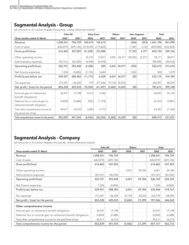### **Segmental Analysis - Group**

(all amounts in Sri Lankan Rupees thousands, unless otherwise stated)

|                                                                    | Palm Oil   |           | Dairy Farm |            | <b>Others</b> |          | <b>Inter Segment</b> |          | Total      |            |
|--------------------------------------------------------------------|------------|-----------|------------|------------|---------------|----------|----------------------|----------|------------|------------|
| Three months ended 31 March                                        | 2022       | 2021      | 2022       | 2021       | 2022          | 2021     | 2022                 | 2021     | 2022       | 2021       |
| Revenue                                                            | 1,258,541  | 796,729   | 183,019    | 165,614    |               |          | (364)                | (353)    | 1,441,196  | 961,990    |
| Cost of sales                                                      | (642, 079) | (449,726) | (214, 654) | (175, 822) |               |          | 17,687               | 2,724    | (839, 046) | (622, 824) |
| Gross profit/(loss)                                                | 616,462    | 347,003   | (31,635)   | (10, 208)  |               |          | 17,323               | 2,371    | 602,150    | 339,166    |
| Other operating income                                             |            |           | 32,755     | 15,871     | 4,041         | 24,577   | (18,025)             | (2, 371) | 18,771     | 38,077     |
| Administrative expenses                                            | (93, 761)  | (54, 555) | (4, 548)   | (5,078)    |               |          |                      |          | (98, 309)  | (59,633)   |
| Operating profit/(loss)                                            | 522,701    | 292,448   | (3,428)    | 585        | 4,041         | 24,577   | (702)                |          | 522,612    | 317,610    |
| Net finance expenses                                               | 7,226      | (4,065)   | (7, 745)   | 5,644      |               |          | 1,022                |          | 503        | 1,579      |
| Profit/(Loss) before tax                                           | 529,927    | 288,383   | (11, 173)  | 6,229      | 4,041         | 24,577   | 320                  |          | 523,115    | 319,189    |
| Tax expenses                                                       | 273,301    | 136,650   | 919        | (47, 536)  | (9, 723)      | (8, 555) |                      |          | 264,497    | 80,559     |
| Net profit / (loss) for the period                                 | 803,228    | 425,033   | (10, 254)  | (41, 307)  | (5,682)       | 16,022   | 320                  |          | 787,612    | 399,748    |
| Acturial gain on retirement<br>benefit obligations                 | 55,431     | 19,198    | 4,612      | 5,966      |               |          |                      |          | 60,043     | 25,164     |
| Deferred Tax on acturial gain on<br>retirement benefit obligations | (5,820)    | (2,688)   | (922)      | (1, 193)   |               |          |                      |          | (6, 742)   | (3,881)    |
| Total other comprehensive income for<br>the period (net of tax)    | 49,611     | 16,510    | 3,690      | 4,773      |               |          |                      |          | 53,301     | 21,283     |
| Total comprehensive income for the period                          | 852,839    | 441,543   | (6, 564)   | (36, 534)  | (5,682)       | 16,022   | 320                  |          | 840,913    | 421,031    |

### **Segmental Analysis - Company**

(all amounts in Sri Lankan Rupees thousands, unless otherwise stated)

|                                                                 | Palm Oil  |            | <b>Others</b> |          | <b>Total</b> |            |  |
|-----------------------------------------------------------------|-----------|------------|---------------|----------|--------------|------------|--|
| Three months ended 31 March                                     | 2022      | 2021       | 2022          | 2021     | 2022         | 2021       |  |
| Revenue                                                         | 1,258,541 | 796,729    |               |          | 1,258,541    | 796,729    |  |
| Cost of sales                                                   | (642,079) | (449, 726) |               |          | (642,079)    | (449, 726) |  |
| Gross profit/(loss)                                             | 616,462   | 347,003    |               |          | 616,462      | 347,003    |  |
| Other operating income                                          |           |            | 4,041         | 29,784   | 4,041        | 29,784     |  |
| Administrative expenses                                         | (93, 761) | (54, 555)  |               |          | (93, 761)    | (54, 555)  |  |
| Operating profit/(loss)                                         | 522,701   | 292,448    | 4,041         | 29,784   | 526,742      | 322,232    |  |
| Net finance expenses                                            | 7,226     | (4,065)    |               |          | 7,226        | (4,065)    |  |
| Profit/(Loss) before tax                                        | 529,927   | 288,383    | 4,041         | 29,784   | 533,968      | 318,167    |  |
| Tax expenses                                                    | 273,301   | 136,650    | (9, 723)      | (8, 555) | 263,578      | 128,095    |  |
| Net profit / (loss) for the period                              | 803,228   | 425,033    | (5,682)       | 21,299   | 797,546      | 446,262    |  |
| Other comprehensive income                                      |           |            |               |          |              |            |  |
| Acturial gain on retirement benefit obligations                 | 55,431    | 19,198     |               |          | 55,431       | 19,198     |  |
| Deferred Tax on acturial gain on retirement benefit obligations | (5,820)   | (2,688)    |               |          | (5,820)      | (2,688)    |  |
| Total other comprehensive income for the perid (net of tax)     | 49,611    | 16,510     |               |          | 49,611       | 16,510     |  |
| Total comprehensive income for the period                       | 852,839   | 441,543    | (5,682)       | 21,299   | 847,157      | 462,772    |  |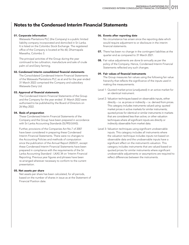### **Notes to the Condensed Interim Financial Statements**

#### 01. Corporate information

Watawala Plantations PLC (the Company) is a public limited liability company incorporated and domiciled in Sri Lanka. It is listed on the Colombo Stock Exchange. The registered office of the Company is located at No 60, Dharmapala Mawatha, Colombo 3.

The principal activities of the Group during the year continued to be cultivation, manufacture and sale of crude palm oil and Dairy farming.

#### 02. Condensed Interim consolidated financial statements

The Consolidated Condensed Interim Financial Statements of the Watawala Plantations PLC as at and for the year ended 31 March 2022 comprised the Company and subsidiary Watawala Dairy Ltd.

#### 03. Approval of financial statements

The Condensed Interim Financial Statements of the Group and the Company for the year ended 31 March 2022 were authorised to be published by the Board of Directors on 26 May 2022.

#### 04. Basis of preparation

These Condensed Interim Financial Statements of the Company and the Group have been prepared in accordance with Sri Lanka Accounting Standards (SLFRS/LKAS).

Further, provisions of the Companies Act No.7 of 2007 have been considered in preparing these Condensed Interim Financial Statements. There were no changes to the Accounting Policies and methods of computation since the publication of the Annual Report 2020/21, except these Condensed Interim Financial Statements have been prepared in compliance with the requirements of the Sri Lanka Accounting Standard - LKAS 34 on 'Interim Financial Reporting. Previous year figures and phrases have been re-arranged wherever necessary to conform to the current presentation.

#### 05. Net assets per share

Net assets per share has been calculated, for all periods, based on the number of shares in issue as at the Statement of Financial Position date.

#### 06. Events after reporting date

No circumstance has arisen since the reporting date which would require adjustment to or disclosure in the interim financial statements.

- 07. There has been no change in the contingent liabilities at the quarter end as compared to 31 March 2021.
- **08.** Fair value adjustments are done bi-annually as per the policy of the Company. Hence, Condensed Interim Financial Statements reflected any such changes.

#### 09. Fair values of financial instruments

The Group measures fair values using the following fair value hierarchy that reflects the significance of the inputs used in making the measurements.

- Level 1: Quoted market price (unadjusted) in an active market for an identical instrument.
- Level 2: Valuation techniques based on observable inputs, either directly – i.e. as prices or indirectly – i.e. derived from prices. This category includes instruments valued using: quoted market prices in active markets for similar instruments; quoted prices for identical or similar instruments in markets that are considered less than active; or other valuation techniques where all significant inputs are directly or indirectly observable from market data.
- Level 3: Valuation techniques using significant unobservable inputs. This category includes all instruments where the valuation technique includes inputs not based on observable data and the unobservable inputs have a significant effect on the instrument's valuation. This category includes instruments that are valued based on quoted prices for similar instruments where significant unobservable adjustments or assumptions are required to reflect differences between the instruments.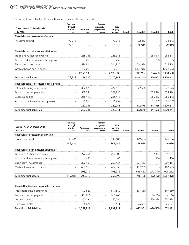(all amounts in Sri Lankan Rupees thousands, unless otherwise stated)

| Group - As at 31 March 2022<br>'Rs. '000         | Fair value<br>through<br>profit or<br>loss | Amortised<br>cost | Fair value<br>through other<br>comprehensive<br>income | Total<br>carrying<br>amount | Level 1 | Level 2   | Level 3 | Total     |
|--------------------------------------------------|--------------------------------------------|-------------------|--------------------------------------------------------|-----------------------------|---------|-----------|---------|-----------|
| Financial assets measured at fair value          |                                            |                   |                                                        |                             |         |           |         |           |
| Investment fund                                  | 72,313                                     |                   |                                                        | 72,313                      |         | 72,313    |         | 72,313    |
|                                                  | 72,313                                     |                   |                                                        | 72,313                      |         | 72,313    |         | 72,313    |
| Financial assets not measured at fair value      |                                            |                   |                                                        |                             |         |           |         |           |
| Trade and Other receivables                      |                                            | 256,348           |                                                        | 256,348                     |         |           | 256,348 | 256,348   |
| Amounts due from related company                 |                                            | 255               |                                                        | 255                         |         |           | 255     | 255       |
| Short term investments                           |                                            | 514,914           |                                                        | 514,914                     |         | 514,914   |         | 514,914   |
| Cash at banks and in hand                        |                                            | 1,427,013         | $\sim$                                                 | 1,427,013                   |         | 1,427,013 |         | 1,427,013 |
|                                                  |                                            | 2,198,530         |                                                        | 2,198,530                   |         | 1,941,927 | 256,603 | 2,198,530 |
| Total financial assets                           | 72,313                                     | 2,198,530         |                                                        | 2,270,843                   |         | 2,014,240 | 256,603 | 2,270,843 |
| Financial liabilities not measured at fair value |                                            |                   |                                                        |                             |         |           |         |           |
| Interest bearing borrowings                      |                                            | 372,575           |                                                        | 372,575                     |         | 372,575   |         | 372,575   |
| Trade and other payables                         |                                            | 559.994           |                                                        | 559,994                     |         |           | 559.994 | 559,994   |
| Lease Liabilities                                |                                            | 256,413           | $\sim$                                                 | 256,413                     |         |           | 256,413 | 256,413   |
| Amount due to related companies                  |                                            | 31,259            |                                                        | 31,259                      |         |           | 31,259  | 31,259    |
|                                                  |                                            | 1,220,241         |                                                        | 1,220,241                   |         | 372,575   | 847,666 | 1,220,241 |
| <b>Total financial liabilities</b>               |                                            | 1,220,241         |                                                        | 1,220,241                   |         | 372,575   | 847,666 | 1,220,241 |

| Group - As at 31 March 2021<br>'Rs. '000         | <b>Fair value</b><br>through<br>profit or<br>loss | <b>Amortised</b><br>cost | <b>Fair value</b><br>through other<br>comprehensive<br>income | Total<br>carrying<br>amount | Level 1                  | Level <sub>2</sub> | Level 3 | <b>Total</b> |
|--------------------------------------------------|---------------------------------------------------|--------------------------|---------------------------------------------------------------|-----------------------------|--------------------------|--------------------|---------|--------------|
| Financial assets measured at fair value          |                                                   |                          |                                                               |                             |                          |                    |         |              |
| Investment fund                                  | 149,686                                           |                          | $\overline{\phantom{a}}$                                      | 149,686                     |                          | 149,686            |         | 149,686      |
|                                                  | 149,686                                           |                          |                                                               | 149,686                     |                          | 149,686            |         | 149,686      |
| Financial assets not measured at fair value      |                                                   |                          |                                                               |                             |                          |                    |         |              |
| Trade and Other recievables                      |                                                   | 292,304                  | $\sim$                                                        | 292,304                     |                          |                    | 292,304 | 292,304      |
| Amounts due from related company                 |                                                   | 486                      |                                                               | 486                         |                          |                    | 486     | 486          |
| Short term investments                           |                                                   | 207,467                  | $\overline{\phantom{a}}$                                      | 207,467                     |                          | 207,467            |         | 207,467      |
| Cash at banks and in hand                        |                                                   | 407,955                  | ٠                                                             | 407,955                     | $\overline{\phantom{0}}$ | 407,955            |         | 407,955      |
|                                                  |                                                   | 908,212                  |                                                               | 908,212                     |                          | 615,422            | 292,790 | 908,212      |
| <b>Total financial assets</b>                    | 149.686                                           | 908,212                  | $\overline{\phantom{a}}$                                      | 1,057,898                   | $\overline{\phantom{a}}$ | 765,108            | 292,790 | 1,057,898    |
| Financial liabilities not measured at fair value |                                                   |                          |                                                               |                             |                          |                    |         |              |
| Interest bearing borrowings                      |                                                   | 597,680                  |                                                               | 597,680                     |                          | 597,680            |         | 597,680      |
| Trade and other payables                         |                                                   | 366,266                  | $\sim$                                                        | 366,266                     |                          |                    | 366,266 | 366,266      |
| Lease Liabilities                                |                                                   | 250,294                  |                                                               | 250,294                     |                          |                    | 250,294 | 250,294      |
| <b>Bank overdrafts</b>                           |                                                   | 25,671                   |                                                               | 25,671                      |                          | 25,671             |         | 25,671       |
| <b>Total financial liabilities</b>               |                                                   | 1,239,911                |                                                               | 1,239,911                   |                          | 623,351            | 616,560 | 1,239,911    |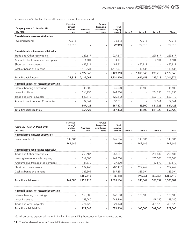(all amounts in Sri Lankan Rupees thousands, unless otherwise stated)

| Company - As at 31 March 2022<br>'Rs. '000       | Fair value<br>through<br>profit or<br>loss | <b>Amortised</b><br>cost | Fair value<br>through other<br>comprehensive<br>income | Total<br>carrying<br>amount | Level 1 | Level 2   | Level 3 | Total     |
|--------------------------------------------------|--------------------------------------------|--------------------------|--------------------------------------------------------|-----------------------------|---------|-----------|---------|-----------|
| Financial assets measured at fair value          |                                            |                          |                                                        |                             |         |           |         |           |
| Investment fund                                  | 72,313                                     |                          |                                                        | 72,313                      |         | 72,313    |         | 72,313    |
|                                                  | 72,313                                     |                          |                                                        | 72,313                      |         | 72,313    |         | 72,313    |
| Financial assets not measured at fair value      |                                            |                          |                                                        |                             |         |           |         |           |
| Trade and Other receivables                      |                                            | 229,617                  |                                                        | 229,617                     |         |           | 229,617 | 229,617   |
| Amounts due from related company                 |                                            | 4,101                    |                                                        | 4,101                       |         |           | 4,101   | 4,101     |
| Short term investments                           |                                            | 482,811                  |                                                        | 482,811                     |         | 482,811   |         | 482,811   |
| Cash at banks and in hand                        | $\overline{\phantom{a}}$                   | 1,412,534                | $\sim$                                                 | 1,412,534                   |         | 1,412,534 |         | 1,412,534 |
|                                                  |                                            | 2,129,063                |                                                        | 2,129,063                   |         | 1,895,345 | 233,718 | 2,129,063 |
| <b>Total financial assets</b>                    | 72,313                                     | 2,129,063                | $\overline{\phantom{a}}$                               | 2,201,376                   |         | 1,967,658 | 233,718 | 2,201,376 |
| Financial liabilities not measured at fair value |                                            |                          |                                                        |                             |         |           |         |           |
| Interest bearing borrowings                      |                                            | 45,500                   |                                                        | 45,500                      |         | 45,500    |         | 45,500    |
| Lease Liabilities                                |                                            | 264,750                  |                                                        | 264,750                     |         |           | 264,750 | 264,750   |
| Trade and other payables                         |                                            | 520,112                  |                                                        | 520,112                     |         |           | 520,112 | 520,112   |
| Amount due to related Companies                  |                                            | 37,061                   |                                                        | 37,061                      |         |           | 37,061  | 37,061    |
|                                                  |                                            | 867,423                  |                                                        | 867,423                     |         | 45,500    | 821,923 | 867,423   |
| <b>Total financial liabilities</b>               |                                            | 867,423                  |                                                        | 867,423                     |         | 45,500    | 821,923 | 867,423   |

| Company - As at 31 March 2021<br>'Rs. '000       | Fair value<br>through<br>profit or<br>loss | <b>Amortised</b><br>cost | Fair value<br>through other<br>comprehensive<br>income | <b>Total</b><br>carrying<br>amount | Level 1 | Level 2 | Level 3 | Total     |
|--------------------------------------------------|--------------------------------------------|--------------------------|--------------------------------------------------------|------------------------------------|---------|---------|---------|-----------|
| Financial assets measured at fair value          |                                            |                          |                                                        |                                    |         |         |         |           |
| Investment fund                                  | 149,686                                    |                          | $\blacksquare$                                         | 149,686                            |         | 149,686 |         | 149,686   |
|                                                  | 149,686                                    |                          |                                                        | 149,686                            |         | 149,686 |         | 149,686   |
| Financial assets not measured at fair value      |                                            |                          |                                                        |                                    |         |         |         |           |
| Trade and Other receivables                      |                                            | 258,687                  |                                                        | 258,687                            |         |         | 258,687 | 258,687   |
| Loans given to related company                   |                                            | 262,000                  |                                                        | 262,000                            |         |         | 262,000 | 262,000   |
| Amounts due from related company                 |                                            | 37,870                   |                                                        | 37,870                             |         |         | 37,870  | 37,870    |
| Short term investments                           |                                            | 207,467                  |                                                        | 207,467                            |         | 207,467 |         | 207,467   |
| Cash at banks and in hand                        |                                            | 389,394                  |                                                        | 389,394                            |         | 389,394 |         | 389,394   |
|                                                  |                                            | 1,155,418                |                                                        | 1,155,418                          |         | 596,861 | 558,557 | 1,155,418 |
| Total financial assets                           | 149,686                                    | 1,155,418                |                                                        | 1,305,104                          |         | 746,547 | 558,557 | 1,305,104 |
| Financial liabilities not measured at fair value |                                            |                          |                                                        |                                    |         |         |         |           |
| Interest bearing borrowings                      |                                            | 160,500                  |                                                        | 160,500                            |         | 160,500 |         | 160,500   |
| Lease Liabilities                                |                                            | 248,240                  |                                                        | 248,240                            |         |         | 248,240 | 248,240   |
| Trade and other payables                         |                                            | 321,128                  |                                                        | 321,128                            |         |         | 321,128 | 321,128   |
| <b>Total financial liabilities</b>               |                                            | 729,868                  |                                                        | 729,868                            |         | 160,500 | 569,368 | 729,868   |

10. All amounts expressed are in Sri Lankan Rupees (LKR.) thousands unless otherwise stated.

11. The Condensed Interim Financial Statements are not audited.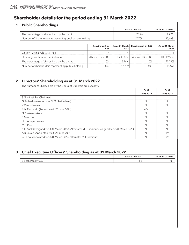### **Shareholder details for the period ending 31 March 2022**

### 1 Public Shareholdings

| As at 31.03.2022 | As at 31.03.2021 |
|------------------|------------------|
|                  |                  |
|                  | 5.46ప            |
|                  |                  |

|                                                    | <b>Requirement by</b> | 2022   | As as 31 March   Requirement by CSE        | As as 31 March<br>2021 |
|----------------------------------------------------|-----------------------|--------|--------------------------------------------|------------------------|
| Option [Listing rule 7.13.1 (a)]                   |                       |        |                                            |                        |
| Float adjusted market capitalization               |                       |        | Above LKR 2.5Bn LKR 4.88Bn Above LKR 2.5Bn | I KR 2 99Bn            |
| The percentage of shares held by the public        | 1በ%                   | 2576%  | 1 በ%                                       | 25.76%                 |
| Number of shareholders representing public holding |                       | 17.709 |                                            | 15,463                 |

### 2 Directors' Shareholding as at 31 March 2022

The number of Shares held by the Board of Directors are as follows

|                                                                                                  | As at      | As at      |
|--------------------------------------------------------------------------------------------------|------------|------------|
|                                                                                                  | 31.03.2022 | 31.03.2021 |
| S G Wijesinha (Chairman)                                                                         |            |            |
| G Sathasivam (Alternate: S. G. Sathasivam)                                                       | Nil        | Nil        |
| V Govindasamy                                                                                    | Nil        | Nil        |
| A N Fernando (Retired w.e.f. 25 June 2021)                                                       | n/a        |            |
| N B Weerasekera                                                                                  | Nil        | Nil        |
| S Mawzoon                                                                                        | Nil        | Nil        |
| H D Abeywickrama                                                                                 | Nil        | Nil        |
| M R Rao                                                                                          | Nil        | Nil        |
| K H Kuok (Resigned w.e.f 31 March 2022), (Alternate: M T Siddique, resigned w.e.f 31 March 2022) | Nil        | Nil        |
| A R Rasiah (Appointed w.e.f. 25 June 2021)                                                       | Nil        | n/a        |
| C L Loo (Appointed w.e.f 31 March 2022, Alternate: M T Siddique)                                 | Nil        | n/a        |

### 3 Chief Executive Officers' Shareholding as at 31 March 2022

|                                            | As at 31.03.2022 | As at 31.03.2021 |
|--------------------------------------------|------------------|------------------|
| $\mathbf{r}$<br><b>Binesh</b><br>Pananwala | Nil              | Nii              |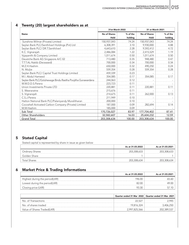#### 31st March 2022 31 st March 2021 Name Name No. 2012 No. 2013 No. 2014 No. 2014 No. 2014 No. 2014 No. 2014 No. 2014 No. 2014 No. 2014 No. 2014 No. 2014 No. 2014 No. 2014 No. 2014 No. 2014 No. 2014 No. 2014 No. 2014 No. 2014 No. 2014 No. 2014 No. 2014 No. 2 Held % of the holding No of Shares Held % of the holding Sunshine Wilmar (Private) Limited 150,937,043 150,937,043 74.24 750,937,043 74.24 Seylan Bank PLC/Senthilverl Holdings (Pvt) Ltd 6,308,391 6,308,391 3.10 9,930,000 4.88 Seylan Bank PLC/ DR.T.Senthilverl 4,643,610 2.28 9,592,412 4.72 K.C. Vignarajah 2,486,084 | 2,486,084 | 2,415,529 | 1.19 Vyjayanthi & Company Limited 2.50 1,011,674 0.50 1,011,674 0.50 1,011,674 0.50 Deustche Bank AG Singapore A/C 02 713,480 0.35 948,480 0.47 T.T.T.AL-Nakib (Deceased) 700,000 0.34 700,000 0.34 M.Z.H.Hashim 650,000 0.32 490,250 0.24 N. Muljie 559,354 0.28 559,354 0.28 Seylan Bank PLC/ Capital Trust Holdings Limited 459,339 20.23 M.I. Abdul Hameed 2017 254,085 0.17 354,085 0.17 354,085 0.17 Seylan Bank PLC/Goluhewage Bindu Rasitha Poojitha Gunawardana  $\qquad 244,063 \qquad 0.12$ W.W.D.D.S.Perera 223,723 0.11 - - Union Investments Private LTD **220,881 0.11 220,881 0.11 0.11 0.11 0.11** S. Weeraratne 215,676 215,676 0.11 - 0.11 - 215,676 0.11 - 215,676 0.11 - 0.11 - 0.11 - 0.11 - 0.11 - 0.11 - 0.11 - 0.11 - 0.11 - 0.11 - 0.11 - 0.11 - 0.11 - 0.11 - 0.11 - 0.11 - 0.11 - 0.11 - 0.11 - 0.11 - 0.11 - 0.11 - 0 S. Vignarajah 214,675 262,000 0.13 C.S.J.Perera 211,949 0.10 - - Hatton National Bank PLC/Palaniyandy Muralitharan 1988 | 200,000 | 200,000 | 0.10 Cocoshell Activated Carbon Company (Private) Limited 187,000 0.09 282,694 0.14 M.M.Hashim 185,000 0.09 - - Sub Total 170,726,027 83.97 177,704,402 87.41 Other Shareholders 22,582,607 16.03 25,604,232 12.59 Grand Total 203,308,634 100.00 203,308,634 100.00 203,308,634 100.00 100.00 100.00 100.00 100.00 100.00 100.00

### 4 Twenty (20) largest shareholders as at

### 5 Stated Capital

Stated capital is represented by share in issue as given below

|                        | As at 31.03.2022 | As at 31.03.2021 |
|------------------------|------------------|------------------|
| <b>Ordinary Shares</b> | 203,308,633      | 203.308.633      |
| Golden Share           |                  |                  |
| <b>Total Shares</b>    | 203,308,634      | 203.308          |

### 6 Market Price & Trading Informations

|                                | As at 31.03.2022 | As at 31.03.2021 |
|--------------------------------|------------------|------------------|
| Highest during the period(LKR) | 196.00           |                  |
| Lowest during the period(LKR)  | 82.00            |                  |
| Closing price (LKR)            | 93.30            |                  |

|                             |             | Quarter ended 31 Mar 2022   Quarter ended 31 Mar 2021 |
|-----------------------------|-------------|-------------------------------------------------------|
| No. of Transactions         |             |                                                       |
| No. of shares traded        | 19.816.324  | 406.250                                               |
| Value of Shares Traded(LKR) | 2997825.566 | 202,389,53                                            |